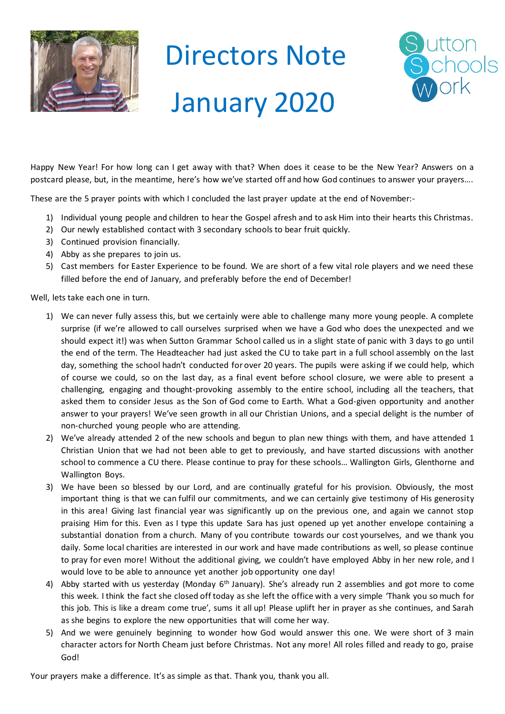

## Directors Note January 2020



Happy New Year! For how long can I get away with that? When does it cease to be the New Year? Answers on a postcard please, but, in the meantime, here's how we've started off and how God continues to answer your prayers….

These are the 5 prayer points with which I concluded the last prayer update at the end of November:-

- 1) Individual young people and children to hear the Gospel afresh and to ask Him into their hearts this Christmas.
- 2) Our newly established contact with 3 secondary schools to bear fruit quickly.
- 3) Continued provision financially.
- 4) Abby as she prepares to join us.
- 5) Cast members for Easter Experience to be found. We are short of a few vital role players and we need these filled before the end of January, and preferably before the end of December!

Well, lets take each one in turn.

- 1) We can never fully assess this, but we certainly were able to challenge many more young people. A complete surprise (if we're allowed to call ourselves surprised when we have a God who does the unexpected and we should expect it!) was when Sutton Grammar School called us in a slight state of panic with 3 days to go until the end of the term. The Headteacher had just asked the CU to take part in a full school assembly on the last day, something the school hadn't conducted for over 20 years. The pupils were asking if we could help, which of course we could, so on the last day, as a final event before school closure, we were able to present a challenging, engaging and thought-provoking assembly to the entire school, including all the teachers, that asked them to consider Jesus as the Son of God come to Earth. What a God-given opportunity and another answer to your prayers! We've seen growth in all our Christian Unions, and a special delight is the number of non-churched young people who are attending.
- 2) We've already attended 2 of the new schools and begun to plan new things with them, and have attended 1 Christian Union that we had not been able to get to previously, and have started discussions with another school to commence a CU there. Please continue to pray for these schools… Wallington Girls, Glenthorne and Wallington Boys.
- 3) We have been so blessed by our Lord, and are continually grateful for his provision. Obviously, the most important thing is that we can fulfil our commitments, and we can certainly give testimony of His generosity in this area! Giving last financial year was significantly up on the previous one, and again we cannot stop praising Him for this. Even as I type this update Sara has just opened up yet another envelope containing a substantial donation from a church. Many of you contribute towards our cost yourselves, and we thank you daily. Some local charities are interested in our work and have made contributions as well, so please continue to pray for even more! Without the additional giving, we couldn't have employed Abby in her new role, and I would love to be able to announce yet another job opportunity one day!
- 4) Abby started with us yesterday (Monday  $6<sup>th</sup>$  January). She's already run 2 assemblies and got more to come this week. I think the fact she closed off today as she left the office with a very simple 'Thank you so much for this job. This is like a dream come true', sums it all up! Please uplift her in prayer as she continues, and Sarah as she begins to explore the new opportunities that will come her way.
- 5) And we were genuinely beginning to wonder how God would answer this one. We were short of 3 main character actors for North Cheam just before Christmas. Not any more! All roles filled and ready to go, praise God!

Your prayers make a difference. It's as simple as that. Thank you, thank you all.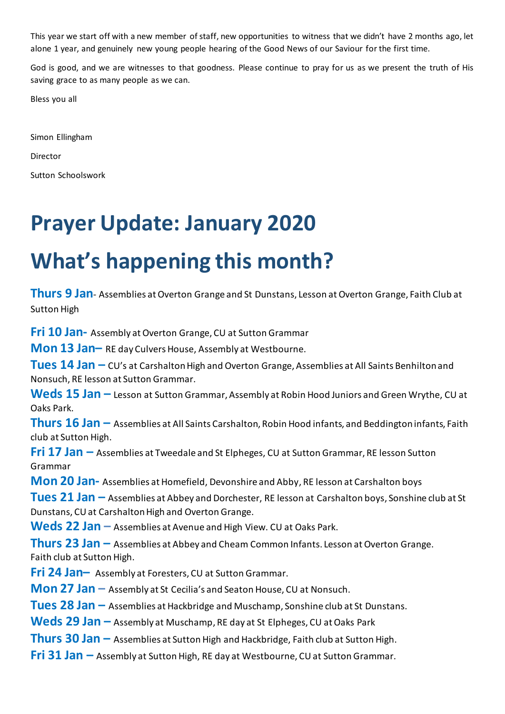This year we start off with a new member of staff, new opportunities to witness that we didn't have 2 months ago, let alone 1 year, and genuinely new young people hearing of the Good News of our Saviour for the first time.

God is good, and we are witnesses to that goodness. Please continue to pray for us as we present the truth of His saving grace to as many people as we can.

Bless you all

Simon Ellingham

Director

Sutton Schoolswork

## **Prayer Update: January 2020**

## **What's happening this month?**

**Thurs 9 Jan**- Assemblies at Overton Grange and St Dunstans, Lesson at Overton Grange, Faith Club at Sutton High

**Fri 10 Jan-** Assembly at Overton Grange, CU at Sutton Grammar

**Mon 13 Jan–** RE day Culvers House, Assembly at Westbourne.

**Tues 14 Jan –** CU's at Carshalton High and Overton Grange, Assemblies at All Saints Benhilton and Nonsuch, RE lesson at Sutton Grammar.

**Weds 15 Jan –** Lesson at Sutton Grammar, Assembly at Robin Hood Juniors and Green Wrythe, CU at Oaks Park.

**Thurs 16 Jan –** Assemblies at All Saints Carshalton, Robin Hood infants, and Beddington infants, Faith club at Sutton High.

**Fri 17 Jan –** Assemblies at Tweedale and St Elpheges, CU at Sutton Grammar, RE lesson Sutton Grammar

**Mon 20 Jan-** Assemblies at Homefield, Devonshire and Abby, RE lesson at Carshalton boys

**Tues 21 Jan –** Assemblies at Abbey and Dorchester, RE lesson at Carshalton boys, Sonshine club at St Dunstans, CU at Carshalton High and Overton Grange.

**Weds 22 Jan –** Assemblies at Avenue and High View. CU at Oaks Park.

**Thurs 23 Jan –** Assemblies at Abbey and Cheam Common Infants. Lesson at Overton Grange. Faith club at Sutton High.

**Fri 24 Jan–** Assembly at Foresters, CU at Sutton Grammar.

**Mon 27 Jan –** Assembly at St Cecilia's and Seaton House, CU at Nonsuch.

**Tues 28 Jan –** Assemblies at Hackbridge and Muschamp, Sonshine club at St Dunstans.

**Weds 29 Jan –** Assembly at Muschamp, RE day at St Elpheges, CU at Oaks Park

**Thurs 30 Jan –** Assemblies at Sutton High and Hackbridge, Faith club at Sutton High.

**Fri 31 Jan –** Assembly at Sutton High, RE day at Westbourne, CU at Sutton Grammar.